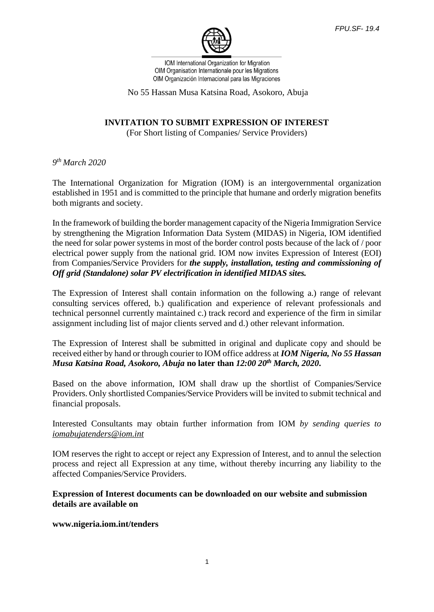

IOM International Organization for Migration OIM Organisation Internationale pour les Migrations OIM Organización Internacional para las Migraciones

No 55 Hassan Musa Katsina Road, Asokoro, Abuja

## **INVITATION TO SUBMIT EXPRESSION OF INTEREST**

(For Short listing of Companies/ Service Providers)

*9 th March 2020*

The International Organization for Migration (IOM) is an intergovernmental organization established in 1951 and is committed to the principle that humane and orderly migration benefits both migrants and society.

In the framework of building the border management capacity of the Nigeria Immigration Service by strengthening the Migration Information Data System (MIDAS) in Nigeria, IOM identified the need for solar power systems in most of the border control posts because of the lack of / poor electrical power supply from the national grid. IOM now invites Expression of Interest (EOI) from Companies/Service Providers for *the supply, installation, testing and commissioning of Off grid (Standalone) solar PV electrification in identified MIDAS sites.*

The Expression of Interest shall contain information on the following a.) range of relevant consulting services offered, b.) qualification and experience of relevant professionals and technical personnel currently maintained c.) track record and experience of the firm in similar assignment including list of major clients served and d.) other relevant information.

The Expression of Interest shall be submitted in original and duplicate copy and should be received either by hand or through courier to IOM office address at *IOM Nigeria, No 55 Hassan Musa Katsina Road, Asokoro, Abuja* **no later than** *12:00 20th March, 2020***.** 

Based on the above information, IOM shall draw up the shortlist of Companies/Service Providers. Only shortlisted Companies/Service Providers will be invited to submit technical and financial proposals.

Interested Consultants may obtain further information from IOM *by sending queries to [iomabujatenders@iom.int](mailto:iomabujatenders@iom.int)*

IOM reserves the right to accept or reject any Expression of Interest, and to annul the selection process and reject all Expression at any time, without thereby incurring any liability to the affected Companies/Service Providers.

## **Expression of Interest documents can be downloaded on our website and submission details are available on**

#### **www.nigeria.iom.int/tenders**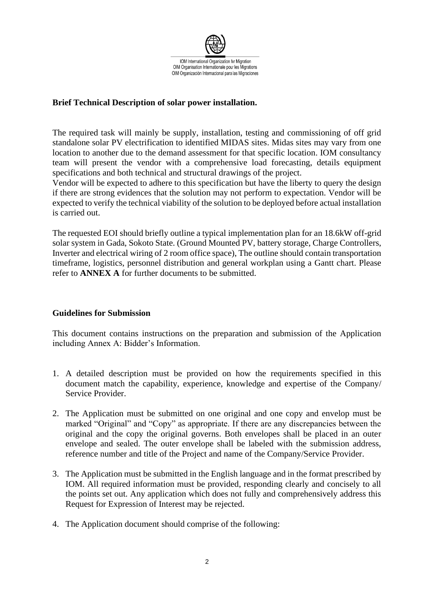

# **Brief Technical Description of solar power installation.**

The required task will mainly be supply, installation, testing and commissioning of off grid standalone solar PV electrification to identified MIDAS sites. Midas sites may vary from one location to another due to the demand assessment for that specific location. IOM consultancy team will present the vendor with a comprehensive load forecasting, details equipment specifications and both technical and structural drawings of the project.

Vendor will be expected to adhere to this specification but have the liberty to query the design if there are strong evidences that the solution may not perform to expectation. Vendor will be expected to verify the technical viability of the solution to be deployed before actual installation is carried out.

The requested EOI should briefly outline a typical implementation plan for an 18.6kW off-grid solar system in Gada, Sokoto State. (Ground Mounted PV, battery storage, Charge Controllers, Inverter and electrical wiring of 2 room office space), The outline should contain transportation timeframe, logistics, personnel distribution and general workplan using a Gantt chart. Please refer to **ANNEX A** for further documents to be submitted.

## **Guidelines for Submission**

This document contains instructions on the preparation and submission of the Application including Annex A: Bidder's Information.

- 1. A detailed description must be provided on how the requirements specified in this document match the capability, experience, knowledge and expertise of the Company/ Service Provider.
- 2. The Application must be submitted on one original and one copy and envelop must be marked "Original" and "Copy" as appropriate. If there are any discrepancies between the original and the copy the original governs. Both envelopes shall be placed in an outer envelope and sealed. The outer envelope shall be labeled with the submission address, reference number and title of the Project and name of the Company/Service Provider.
- 3. The Application must be submitted in the English language and in the format prescribed by IOM. All required information must be provided, responding clearly and concisely to all the points set out. Any application which does not fully and comprehensively address this Request for Expression of Interest may be rejected.
- 4. The Application document should comprise of the following: